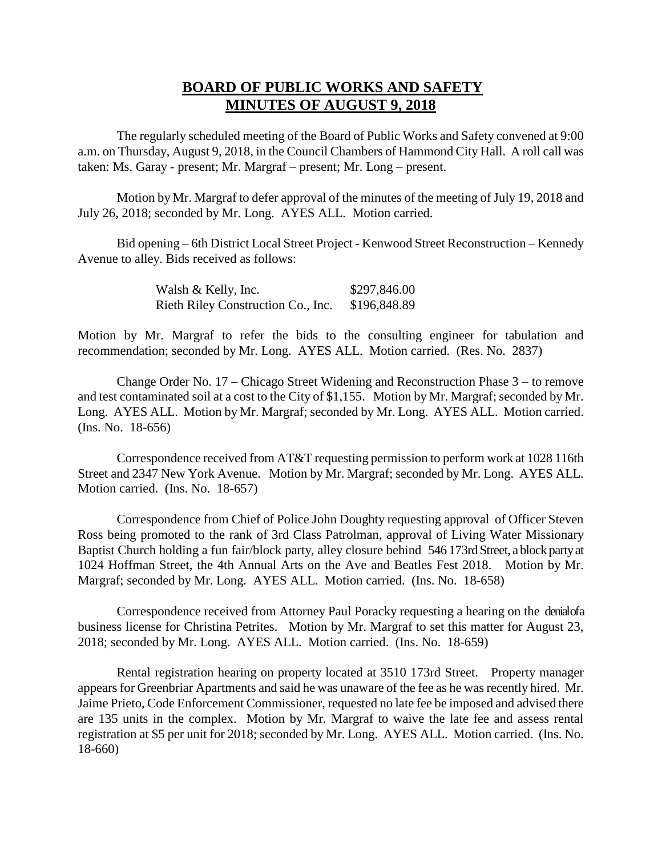## **BOARD OF PUBLIC WORKS AND SAFETY MINUTES OF AUGUST 9, 2018**

The regularly scheduled meeting of the Board of Public Works and Safety convened at 9:00 a.m. on Thursday, August 9, 2018, in the Council Chambers of Hammond City Hall. A roll call was taken: Ms. Garay - present; Mr. Margraf – present; Mr. Long – present.

Motion by Mr. Margraf to defer approval of the minutes of the meeting of July 19, 2018 and July 26, 2018; seconded by Mr. Long. AYES ALL. Motion carried.

Bid opening – 6th District Local Street Project - Kenwood Street Reconstruction – Kennedy Avenue to alley. Bids received as follows:

> Walsh & Kelly, Inc. \$297,846.00 Rieth Riley Construction Co., Inc. \$196,848.89

Motion by Mr. Margraf to refer the bids to the consulting engineer for tabulation and recommendation; seconded by Mr. Long. AYES ALL. Motion carried. (Res. No. 2837)

Change Order No. 17 – Chicago Street Widening and Reconstruction Phase 3 – to remove and test contaminated soil at a cost to the City of \$1,155. Motion by Mr. Margraf; seconded by Mr. Long. AYES ALL. Motion by Mr. Margraf; seconded by Mr. Long. AYES ALL. Motion carried. (Ins. No. 18-656)

Correspondence received from AT&T requesting permission to perform work at 1028 116th Street and 2347 New York Avenue. Motion by Mr. Margraf; seconded by Mr. Long. AYES ALL. Motion carried. (Ins. No. 18-657)

Correspondence from Chief of Police John Doughty requesting approval of Officer Steven Ross being promoted to the rank of 3rd Class Patrolman, approval of Living Water Missionary Baptist Church holding a fun fair/block party, alley closure behind 546 173rd Street, a block party at 1024 Hoffman Street, the 4th Annual Arts on the Ave and Beatles Fest 2018. Motion by Mr. Margraf; seconded by Mr. Long. AYES ALL. Motion carried. (Ins. No. 18-658)

Correspondence received from Attorney Paul Poracky requesting a hearing on the denial of a business license for Christina Petrites. Motion by Mr. Margraf to set this matter for August 23, 2018; seconded by Mr. Long. AYES ALL. Motion carried. (Ins. No. 18-659)

Rental registration hearing on property located at 3510 173rd Street. Property manager appears for Greenbriar Apartments and said he was unaware of the fee as he was recently hired. Mr. Jaime Prieto, Code Enforcement Commissioner, requested no late fee be imposed and advised there are 135 units in the complex. Motion by Mr. Margraf to waive the late fee and assess rental registration at \$5 per unit for 2018; seconded by Mr. Long. AYES ALL. Motion carried. (Ins. No. 18-660)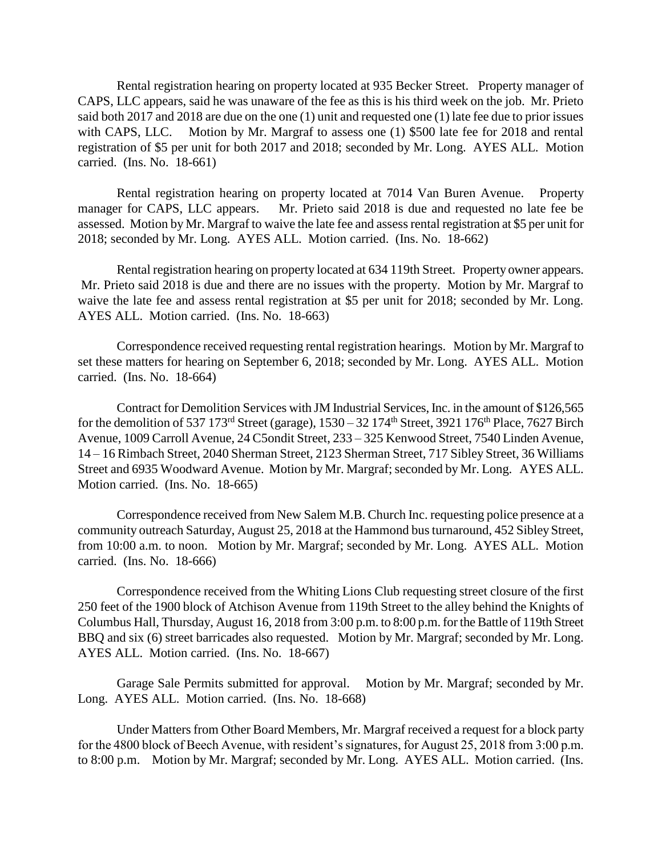Rental registration hearing on property located at 935 Becker Street. Property manager of CAPS, LLC appears, said he was unaware of the fee as this is his third week on the job. Mr. Prieto said both 2017 and 2018 are due on the one (1) unit and requested one (1) late fee due to prior issues with CAPS, LLC. Motion by Mr. Margraf to assess one (1) \$500 late fee for 2018 and rental registration of \$5 per unit for both 2017 and 2018; seconded by Mr. Long. AYES ALL. Motion carried. (Ins. No. 18-661)

Rental registration hearing on property located at 7014 Van Buren Avenue. Property manager for CAPS, LLC appears. Mr. Prieto said 2018 is due and requested no late fee be assessed. Motion by Mr. Margraf to waive the late fee and assess rental registration at \$5 per unit for 2018; seconded by Mr. Long. AYES ALL. Motion carried. (Ins. No. 18-662)

Rental registration hearing on property located at 634 119th Street. Property owner appears. Mr. Prieto said 2018 is due and there are no issues with the property. Motion by Mr. Margraf to waive the late fee and assess rental registration at \$5 per unit for 2018; seconded by Mr. Long. AYES ALL. Motion carried. (Ins. No. 18-663)

Correspondence received requesting rental registration hearings. Motion by Mr. Margraf to set these matters for hearing on September 6, 2018; seconded by Mr. Long. AYES ALL. Motion carried. (Ins. No. 18-664)

Contract for Demolition Services with JM Industrial Services, Inc. in the amount of \$126,565 for the demolition of 537 173<sup>rd</sup> Street (garage), 1530 – 32 174<sup>th</sup> Street, 3921 176<sup>th</sup> Place, 7627 Birch Avenue, 1009 Carroll Avenue, 24 C5ondit Street, 233 – 325 Kenwood Street, 7540 Linden Avenue, 14 – 16 Rimbach Street, 2040 Sherman Street, 2123 Sherman Street, 717 Sibley Street, 36 Williams Street and 6935 Woodward Avenue. Motion by Mr. Margraf; seconded by Mr. Long. AYES ALL. Motion carried. (Ins. No. 18-665)

Correspondence received from New Salem M.B. Church Inc. requesting police presence at a community outreach Saturday, August 25, 2018 at the Hammond bus turnaround, 452 Sibley Street, from 10:00 a.m. to noon. Motion by Mr. Margraf; seconded by Mr. Long. AYES ALL. Motion carried. (Ins. No. 18-666)

Correspondence received from the Whiting Lions Club requesting street closure of the first 250 feet of the 1900 block of Atchison Avenue from 119th Street to the alley behind the Knights of Columbus Hall, Thursday, August 16, 2018 from 3:00 p.m. to 8:00 p.m. for the Battle of 119th Street BBQ and six (6) street barricades also requested. Motion by Mr. Margraf; seconded by Mr. Long. AYES ALL. Motion carried. (Ins. No. 18-667)

Garage Sale Permits submitted for approval. Motion by Mr. Margraf; seconded by Mr. Long. AYES ALL. Motion carried. (Ins. No. 18-668)

Under Matters from Other Board Members, Mr. Margraf received a request for a block party for the 4800 block of Beech Avenue, with resident's signatures, for August 25, 2018 from 3:00 p.m. to 8:00 p.m. Motion by Mr. Margraf; seconded by Mr. Long. AYES ALL. Motion carried. (Ins.